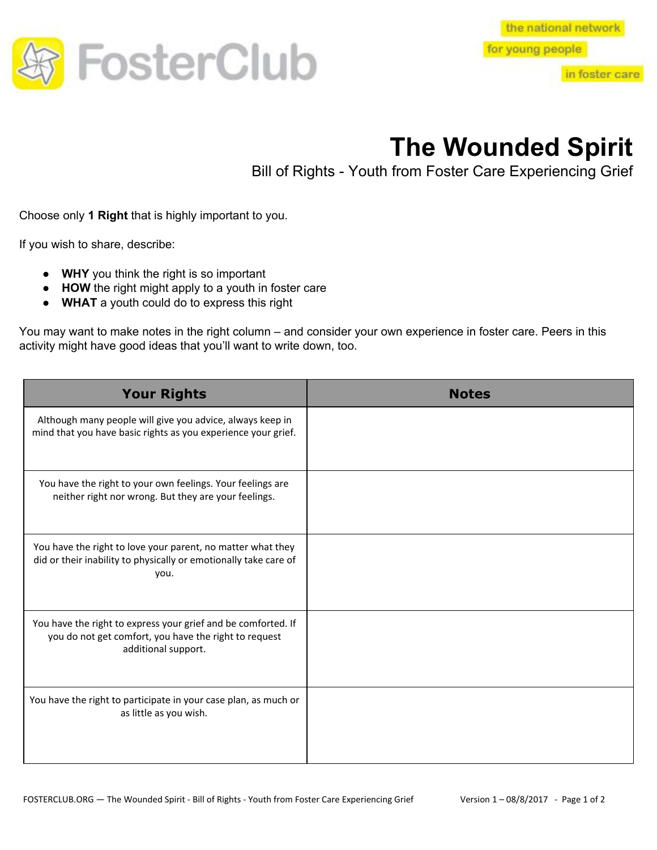

in foster care

## **The Wounded Spirit**

Bill of Rights - Youth from Foster Care Experiencing Grief

Choose only **1 Right** that is highly important to you.

If you wish to share, describe:

- **WHY** you think the right is so important
- **HOW** the right might apply to a youth in foster care
- **WHAT** a youth could do to express this right

You may want to make notes in the right column – and consider your own experience in foster care. Peers in this activity might have good ideas that you'll want to write down, too.

| <b>Your Rights</b>                                                                                                                            | <b>Notes</b> |
|-----------------------------------------------------------------------------------------------------------------------------------------------|--------------|
| Although many people will give you advice, always keep in<br>mind that you have basic rights as you experience your grief.                    |              |
| You have the right to your own feelings. Your feelings are<br>neither right nor wrong. But they are your feelings.                            |              |
| You have the right to love your parent, no matter what they<br>did or their inability to physically or emotionally take care of<br>you.       |              |
| You have the right to express your grief and be comforted. If<br>you do not get comfort, you have the right to request<br>additional support. |              |
| You have the right to participate in your case plan, as much or<br>as little as you wish.                                                     |              |